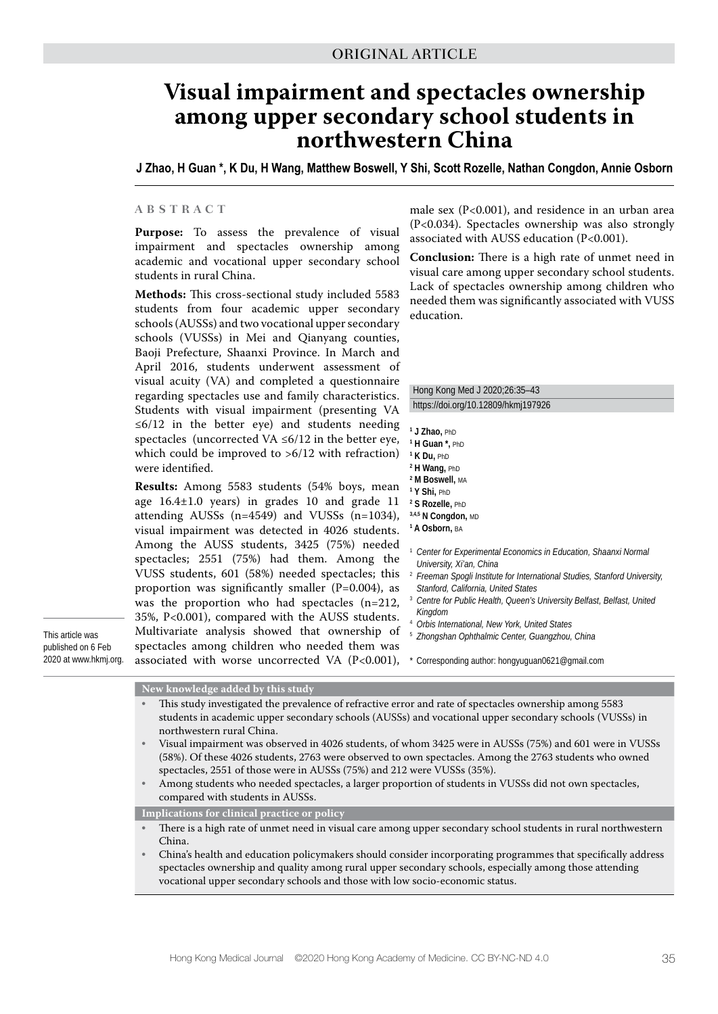# **Visual impairment and spectacles ownership among upper secondary school students in northwestern China**

**J Zhao, H Guan \*, K Du, H Wang, Matthew Boswell, Y Shi, Scott Rozelle, Nathan Congdon, Annie Osborn**

#### **ABSTRACT**

**Purpose:** To assess the prevalence of visual impairment and spectacles ownership among academic and vocational upper secondary school students in rural China.

**Methods:** This cross-sectional study included 5583 students from four academic upper secondary schools (AUSSs) and two vocational upper secondary schools (VUSSs) in Mei and Qianyang counties, Baoji Prefecture, Shaanxi Province. In March and April 2016, students underwent assessment of visual acuity (VA) and completed a questionnaire regarding spectacles use and family characteristics. Students with visual impairment (presenting VA  $\leq 6/12$  in the better eye) and students needing spectacles (uncorrected VA  $\leq 6/12$  in the better eye, which could be improved to >6/12 with refraction) were identified.

**Results:** Among 5583 students (54% boys, mean age 16.4±1.0 years) in grades 10 and grade 11 attending AUSSs (n=4549) and VUSSs (n=1034), visual impairment was detected in 4026 students. Among the AUSS students, 3425 (75%) needed spectacles; 2551 (75%) had them. Among the VUSS students, 601 (58%) needed spectacles; this proportion was significantly smaller  $(P=0.004)$ , as was the proportion who had spectacles (n=212, 35%, P<0.001), compared with the AUSS students. Multivariate analysis showed that ownership of ildren who needed them was as uncorrected VA  $(P<0.001)$ ,

male sex (P<0.001), and residence in an urban area (P<0.034). Spectacles ownership was also strongly associated with AUSS education (P<0.001).

**Conclusion:** There is a high rate of unmet need in visual care among upper secondary school students. Lack of spectacles ownership among children who needed them was significantly associated with VUSS education.

Hong Kong Med J 2020;26:35–43 https://doi.org/10.12809/hkmj197926

- **1 J Zhao,** PhD
- **1 H Guan \*,** PhD
- **1 K Du,** PhD
- **2 H Wang,** PhD
- **2 M Boswell,** MA
- **1 Y Shi,** PhD
- **2 S Rozelle,** PhD **3,4,5 N Congdon,** MD
- **1 A Osborn,** BA
- <sup>1</sup> *Center for Experimental Economics in Education, Shaanxi Normal University, Xi'an, China*
- <sup>2</sup> *Freeman Spogli Institute for International Studies, Stanford University, Stanford, California, United States*
- <sup>3</sup> *Centre for Public Health, Queen's University Belfast, Belfast, United Kingdom*
- <sup>4</sup> *Orbis International, New York, United States*
- <sup>5</sup> *Zhongshan Ophthalmic Center, Guangzhou, China*

\* Corresponding author: hongyuguan0621@gmail.com

| published on 6 Feb    | spectacles among children who ne                                          |
|-----------------------|---------------------------------------------------------------------------|
| 2020 at www.hkmj.org. | associated with worse uncorrected                                         |
|                       | New knowledge added by this study<br>This study investigated the prevale. |

This article was

| This study investigated the prevalence of refractive error and rate of spectacles ownership among 5583  |
|---------------------------------------------------------------------------------------------------------|
| students in academic upper secondary schools (AUSSs) and vocational upper secondary schools (VUSSs) in  |
| northwestern rural China.                                                                               |
| Visual impairment was observed in 4026 students, of whom 3425 were in AUSSs (75%) and 601 were in VUSSs |
| (58%). Of these 4026 students, 2763 were observed to own spectacles. Among the 2763 students who owned  |
| spectacles, 2551 of those were in AUSSs (75%) and 212 were VUSSs (35%).                                 |
| Among students who needed spectacles, a larger proportion of students in VUSSs did not own spectacles,  |
| compared with students in AUSSs.                                                                        |
|                                                                                                         |

**Implications for clinical practice or policy**

• There is a high rate of unmet need in visual care among upper secondary school students in rural northwestern China.

• China's health and education policymakers should consider incorporating programmes that specifically address spectacles ownership and quality among rural upper secondary schools, especially among those attending vocational upper secondary schools and those with low socio-economic status.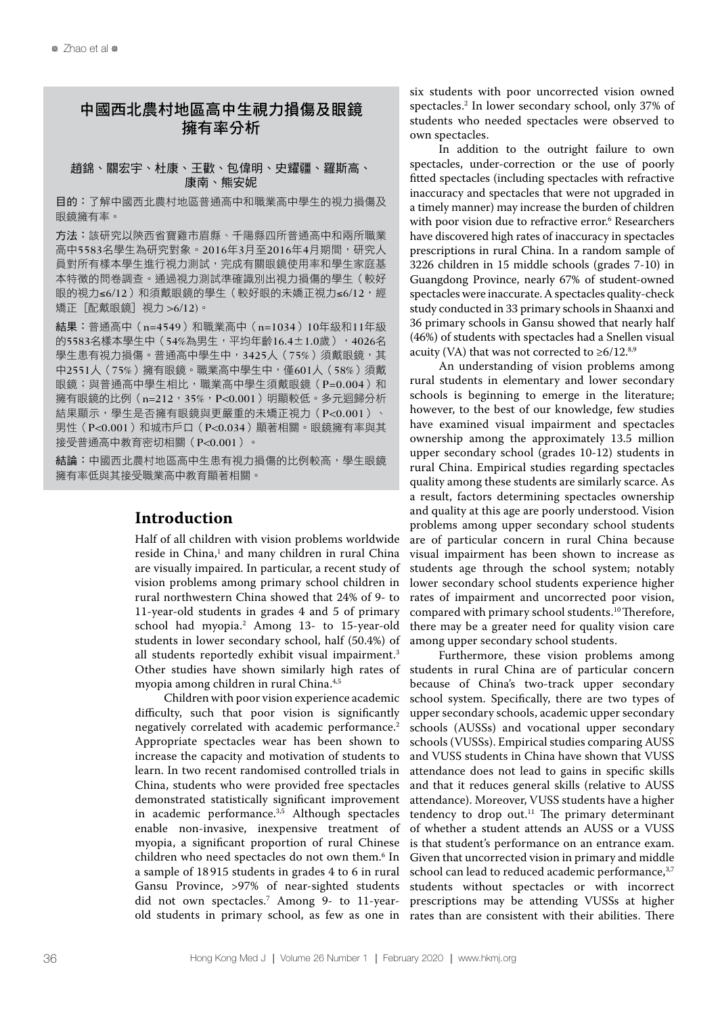# 中國西北農村地區高中生視力損傷及眼鏡 擁有率分析

#### 趙錦、關宏宇、杜康、王歡、包偉明、史耀疆、羅斯高、 康南、熊安妮

目的:了解中國西北農村地區普通高中和職業高中學生的視力損傷及 眼鏡擁有率。

方法:該研究以陝西省寶雞市眉縣、千陽縣四所普通高中和兩所職業 高中5583名學生為研究對象。2016年3月至2016年4月期間,研究人 員對所有樣本學生進行視力測試,完成有關眼鏡使用率和學生家庭基 本特徵的問卷調查。通過視力測試準確識別出視力損傷的學生(較好 眼的視力≤6/12)和須戴眼鏡的學生(較好眼的未嬌正視力≤6/12,經 矯正[配戴眼鏡]視力 >6/12)。

結果:普通高中(n=4549)和職業高中(n=1034)10年級和11年級 的5583名樣本學生中(54%為男生,平均年齡16.4±1.0歲), 4026名 學生患有視力損傷。普通高中學生中, 3425人 (75%) 須戴眼鏡, 其 中2551人(75%)擁有眼鏡。職業高中學生中,僅601人(58%)須戴 眼鏡;與普通高中學生相比,職業高中學生須戴眼鏡(P=0.004)和 擁有眼鏡的比例 (n=212,35%, P<0.001) 明顯較低。多元迴歸分析 結果顯示,學生是否擁有眼鏡與更嚴重的未矯正視力(P<0.001)、 男性(P<0.001)和城市戶口(P<0.034)顯著相關。眼鏡擁有率與其 接受普通高中教育密切相關(P<0.001)。

結論:中國西北農村地區高中生患有視力損傷的比例較高,學生眼鏡 擁有率低與其接受職業高中教育顯著相關。

### **Introduction**

Half of all children with vision problems worldwide reside in China,<sup>1</sup> and many children in rural China are visually impaired. In particular, a recent study of vision problems among primary school children in rural northwestern China showed that 24% of 9- to 11-year-old students in grades 4 and 5 of primary school had myopia.2 Among 13- to 15-year-old students in lower secondary school, half (50.4%) of all students reportedly exhibit visual impairment.<sup>3</sup> Other studies have shown similarly high rates of myopia among children in rural China.<sup>4,5</sup>

Children with poor vision experience academic difficulty, such that poor vision is significantly negatively correlated with academic performance.2 Appropriate spectacles wear has been shown to increase the capacity and motivation of students to learn. In two recent randomised controlled trials in China, students who were provided free spectacles demonstrated statistically significant improvement in academic performance. $3,5$  Although spectacles enable non-invasive, inexpensive treatment of myopia, a significant proportion of rural Chinese children who need spectacles do not own them.6 In a sample of 18 915 students in grades 4 to 6 in rural Gansu Province, >97% of near-sighted students did not own spectacles.7 Among 9- to 11-yearold students in primary school, as few as one in rates than are consistent with their abilities. There

six students with poor uncorrected vision owned spectacles.2 In lower secondary school, only 37% of students who needed spectacles were observed to own spectacles.

In addition to the outright failure to own spectacles, under-correction or the use of poorly fitted spectacles (including spectacles with refractive inaccuracy and spectacles that were not upgraded in a timely manner) may increase the burden of children with poor vision due to refractive error.<sup>6</sup> Researchers have discovered high rates of inaccuracy in spectacles prescriptions in rural China. In a random sample of 3226 children in 15 middle schools (grades 7-10) in Guangdong Province, nearly 67% of student-owned spectacles were inaccurate. A spectacles quality-check study conducted in 33 primary schools in Shaanxi and 36 primary schools in Gansu showed that nearly half (46%) of students with spectacles had a Snellen visual acuity (VA) that was not corrected to  $\geq 6/12$ .<sup>8,9</sup>

An understanding of vision problems among rural students in elementary and lower secondary schools is beginning to emerge in the literature; however, to the best of our knowledge, few studies have examined visual impairment and spectacles ownership among the approximately 13.5 million upper secondary school (grades 10-12) students in rural China. Empirical studies regarding spectacles quality among these students are similarly scarce. As a result, factors determining spectacles ownership and quality at this age are poorly understood. Vision problems among upper secondary school students are of particular concern in rural China because visual impairment has been shown to increase as students age through the school system; notably lower secondary school students experience higher rates of impairment and uncorrected poor vision, compared with primary school students.<sup>10</sup> Therefore, there may be a greater need for quality vision care among upper secondary school students.

Furthermore, these vision problems among students in rural China are of particular concern because of China's two-track upper secondary school system. Specifically, there are two types of upper secondary schools, academic upper secondary schools (AUSSs) and vocational upper secondary schools (VUSSs). Empirical studies comparing AUSS and VUSS students in China have shown that VUSS attendance does not lead to gains in specific skills and that it reduces general skills (relative to AUSS attendance). Moreover, VUSS students have a higher tendency to drop out. $11$  The primary determinant of whether a student attends an AUSS or a VUSS is that student's performance on an entrance exam. Given that uncorrected vision in primary and middle school can lead to reduced academic performance,<sup>3,7</sup> students without spectacles or with incorrect prescriptions may be attending VUSSs at higher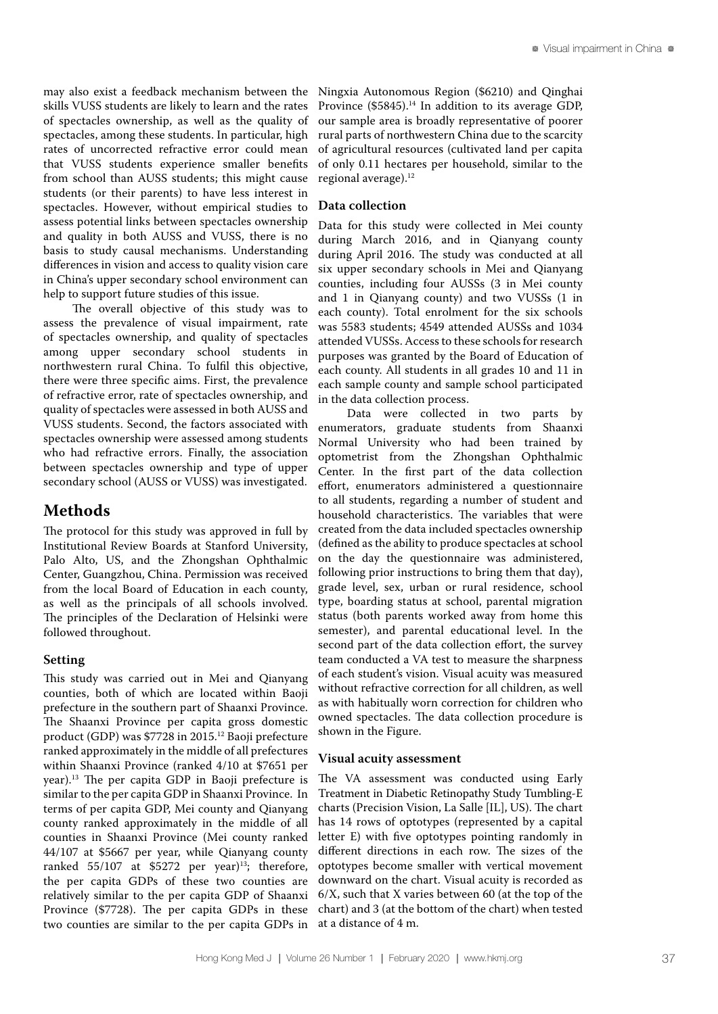may also exist a feedback mechanism between the skills VUSS students are likely to learn and the rates of spectacles ownership, as well as the quality of spectacles, among these students. In particular, high rates of uncorrected refractive error could mean that VUSS students experience smaller benefits from school than AUSS students; this might cause students (or their parents) to have less interest in spectacles. However, without empirical studies to assess potential links between spectacles ownership and quality in both AUSS and VUSS, there is no basis to study causal mechanisms. Understanding differences in vision and access to quality vision care in China's upper secondary school environment can help to support future studies of this issue.

The overall objective of this study was to assess the prevalence of visual impairment, rate of spectacles ownership, and quality of spectacles among upper secondary school students in northwestern rural China. To fulfil this objective, there were three specific aims. First, the prevalence of refractive error, rate of spectacles ownership, and quality of spectacles were assessed in both AUSS and VUSS students. Second, the factors associated with spectacles ownership were assessed among students who had refractive errors. Finally, the association between spectacles ownership and type of upper secondary school (AUSS or VUSS) was investigated.

# **Methods**

The protocol for this study was approved in full by Institutional Review Boards at Stanford University, Palo Alto, US, and the Zhongshan Ophthalmic Center, Guangzhou, China. Permission was received from the local Board of Education in each county, as well as the principals of all schools involved. The principles of the Declaration of Helsinki were followed throughout.

### **Setting**

This study was carried out in Mei and Qianyang counties, both of which are located within Baoji prefecture in the southern part of Shaanxi Province. The Shaanxi Province per capita gross domestic product (GDP) was \$7728 in 2015.12 Baoji prefecture ranked approximately in the middle of all prefectures within Shaanxi Province (ranked 4/10 at \$7651 per year).13 The per capita GDP in Baoji prefecture is similar to the per capita GDP in Shaanxi Province. In terms of per capita GDP, Mei county and Qianyang county ranked approximately in the middle of all counties in Shaanxi Province (Mei county ranked 44/107 at \$5667 per year, while Qianyang county ranked  $55/107$  at \$5272 per year)<sup>13</sup>; therefore, the per capita GDPs of these two counties are relatively similar to the per capita GDP of Shaanxi Province (\$7728). The per capita GDPs in these two counties are similar to the per capita GDPs in

Ningxia Autonomous Region (\$6210) and Qinghai Province (\$5845).<sup>14</sup> In addition to its average GDP, our sample area is broadly representative of poorer rural parts of northwestern China due to the scarcity of agricultural resources (cultivated land per capita of only 0.11 hectares per household, similar to the regional average).<sup>12</sup>

### **Data collection**

Data for this study were collected in Mei county during March 2016, and in Qianyang county during April 2016. The study was conducted at all six upper secondary schools in Mei and Qianyang counties, including four AUSSs (3 in Mei county and 1 in Qianyang county) and two VUSSs (1 in each county). Total enrolment for the six schools was 5583 students; 4549 attended AUSSs and 1034 attended VUSSs. Access to these schools for research purposes was granted by the Board of Education of each county. All students in all grades 10 and 11 in each sample county and sample school participated in the data collection process.

Data were collected in two parts by enumerators, graduate students from Shaanxi Normal University who had been trained by optometrist from the Zhongshan Ophthalmic Center. In the first part of the data collection effort, enumerators administered a questionnaire to all students, regarding a number of student and household characteristics. The variables that were created from the data included spectacles ownership (defined as the ability to produce spectacles at school on the day the questionnaire was administered, following prior instructions to bring them that day), grade level, sex, urban or rural residence, school type, boarding status at school, parental migration status (both parents worked away from home this semester), and parental educational level. In the second part of the data collection effort, the survey team conducted a VA test to measure the sharpness of each student's vision. Visual acuity was measured without refractive correction for all children, as well as with habitually worn correction for children who owned spectacles. The data collection procedure is shown in the Figure.

### **Visual acuity assessment**

The VA assessment was conducted using Early Treatment in Diabetic Retinopathy Study Tumbling-E charts (Precision Vision, La Salle [IL], US). The chart has 14 rows of optotypes (represented by a capital letter E) with five optotypes pointing randomly in different directions in each row. The sizes of the optotypes become smaller with vertical movement downward on the chart. Visual acuity is recorded as 6/X, such that X varies between 60 (at the top of the chart) and 3 (at the bottom of the chart) when tested at a distance of 4 m.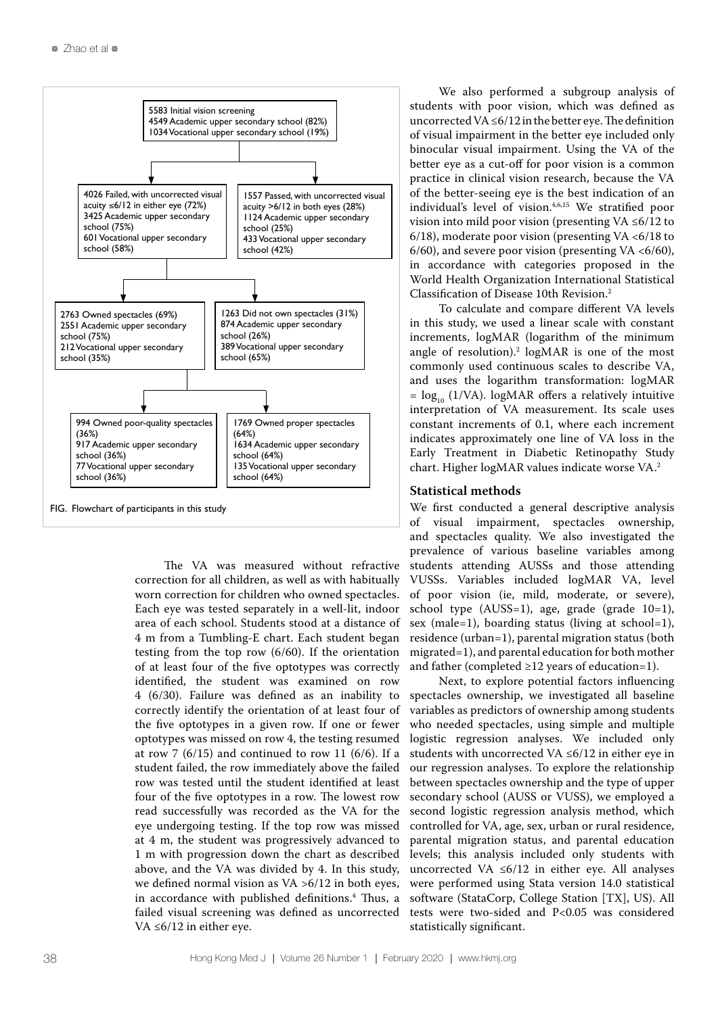

The VA was measured without refractive correction for all children, as well as with habitually worn correction for children who owned spectacles. Each eye was tested separately in a well-lit, indoor area of each school. Students stood at a distance of 4 m from a Tumbling-E chart. Each student began testing from the top row (6/60). If the orientation of at least four of the five optotypes was correctly identified, the student was examined on row 4 (6/30). Failure was defined as an inability to correctly identify the orientation of at least four of the five optotypes in a given row. If one or fewer optotypes was missed on row 4, the testing resumed at row 7  $(6/15)$  and continued to row 11  $(6/6)$ . If a student failed, the row immediately above the failed row was tested until the student identified at least four of the five optotypes in a row. The lowest row read successfully was recorded as the VA for the eye undergoing testing. If the top row was missed at 4 m, the student was progressively advanced to 1 m with progression down the chart as described above, and the VA was divided by 4. In this study, we defined normal vision as VA >6/12 in both eyes, in accordance with published definitions.4 Thus, a failed visual screening was defined as uncorrected VA ≤6/12 in either eye.

We also performed a subgroup analysis of students with poor vision, which was defined as uncorrected VA ≤6/12 in the better eye. The definition of visual impairment in the better eye included only binocular visual impairment. Using the VA of the better eye as a cut-off for poor vision is a common practice in clinical vision research, because the VA of the better-seeing eye is the best indication of an individual's level of vision.<sup>4,6,15</sup> We stratified poor vision into mild poor vision (presenting VA ≤6/12 to 6/18), moderate poor vision (presenting VA  $<6/18$  to 6/60), and severe poor vision (presenting VA <6/60), in accordance with categories proposed in the World Health Organization International Statistical Classification of Disease 10th Revision.2

To calculate and compare different VA levels in this study, we used a linear scale with constant increments, logMAR (logarithm of the minimum angle of resolution).<sup>2</sup>  $log<sub>MAP</sub>$  is one of the most commonly used continuous scales to describe VA, and uses the logarithm transformation: logMAR  $=$  log<sub>10</sub> (1/VA). logMAR offers a relatively intuitive interpretation of VA measurement. Its scale uses constant increments of 0.1, where each increment indicates approximately one line of VA loss in the Early Treatment in Diabetic Retinopathy Study chart. Higher logMAR values indicate worse VA.2

#### **Statistical methods**

We first conducted a general descriptive analysis of visual impairment, spectacles ownership, and spectacles quality. We also investigated the prevalence of various baseline variables among students attending AUSSs and those attending VUSSs. Variables included logMAR VA, level of poor vision (ie, mild, moderate, or severe), school type (AUSS=1), age, grade (grade 10=1), sex (male=1), boarding status (living at school=1), residence (urban=1), parental migration status (both migrated=1), and parental education for both mother and father (completed ≥12 years of education=1).

Next, to explore potential factors influencing spectacles ownership, we investigated all baseline variables as predictors of ownership among students who needed spectacles, using simple and multiple logistic regression analyses. We included only students with uncorrected VA ≤6/12 in either eye in our regression analyses. To explore the relationship between spectacles ownership and the type of upper secondary school (AUSS or VUSS), we employed a second logistic regression analysis method, which controlled for VA, age, sex, urban or rural residence, parental migration status, and parental education levels; this analysis included only students with uncorrected VA ≤6/12 in either eye. All analyses were performed using Stata version 14.0 statistical software (StataCorp, College Station [TX], US). All tests were two-sided and P<0.05 was considered statistically significant.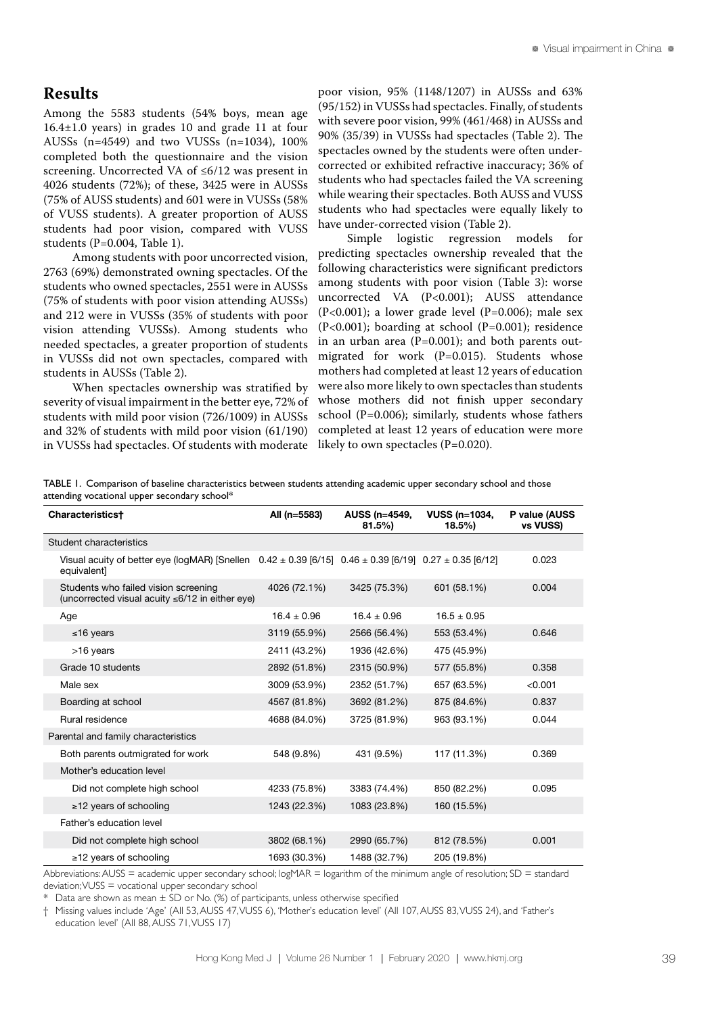# **Results**

Among the 5583 students (54% boys, mean age 16.4±1.0 years) in grades 10 and grade 11 at four AUSSs (n=4549) and two VUSSs (n=1034), 100% completed both the questionnaire and the vision screening. Uncorrected VA of ≤6/12 was present in 4026 students (72%); of these, 3425 were in AUSSs (75% of AUSS students) and 601 were in VUSSs (58% of VUSS students). A greater proportion of AUSS students had poor vision, compared with VUSS students (P=0.004, Table 1).

Among students with poor uncorrected vision, 2763 (69%) demonstrated owning spectacles. Of the students who owned spectacles, 2551 were in AUSSs (75% of students with poor vision attending AUSSs) and 212 were in VUSSs (35% of students with poor vision attending VUSSs). Among students who needed spectacles, a greater proportion of students in VUSSs did not own spectacles, compared with students in AUSSs (Table 2).

When spectacles ownership was stratified by severity of visual impairment in the better eye, 72% of students with mild poor vision (726/1009) in AUSSs and 32% of students with mild poor vision (61/190) in VUSSs had spectacles. Of students with moderate poor vision, 95% (1148/1207) in AUSSs and 63% (95/152) in VUSSs had spectacles. Finally, of students with severe poor vision, 99% (461/468) in AUSSs and 90% (35/39) in VUSSs had spectacles (Table 2). The spectacles owned by the students were often undercorrected or exhibited refractive inaccuracy; 36% of students who had spectacles failed the VA screening while wearing their spectacles. Both AUSS and VUSS students who had spectacles were equally likely to have under-corrected vision (Table 2).

Simple logistic regression models for predicting spectacles ownership revealed that the following characteristics were significant predictors among students with poor vision (Table 3): worse uncorrected VA (P<0.001); AUSS attendance (P<0.001); a lower grade level (P=0.006); male sex (P<0.001); boarding at school (P=0.001); residence in an urban area ( $P=0.001$ ); and both parents outmigrated for work (P=0.015). Students whose mothers had completed at least 12 years of education were also more likely to own spectacles than students whose mothers did not finish upper secondary school (P=0.006); similarly, students whose fathers completed at least 12 years of education were more likely to own spectacles (P=0.020).

TABLE 1. Comparison of baseline characteristics between students attending academic upper secondary school and those attending vocational upper secondary school\*

| All (n=5583)                                                          | AUSS (n=4549,<br>$81.5\%$ | <b>VUSS (n=1034,</b><br>$18.5\%$ | P value (AUSS<br>vs VUSS)                                                                                          |
|-----------------------------------------------------------------------|---------------------------|----------------------------------|--------------------------------------------------------------------------------------------------------------------|
|                                                                       |                           |                                  |                                                                                                                    |
|                                                                       |                           |                                  | 0.023                                                                                                              |
| 4026 (72.1%)<br>(uncorrected visual acuity $\leq 6/12$ in either eye) | 3425 (75.3%)              | 601 (58.1%)                      | 0.004                                                                                                              |
| $16.4 \pm 0.96$                                                       | $16.4 \pm 0.96$           | $16.5 \pm 0.95$                  |                                                                                                                    |
| 3119 (55.9%)                                                          | 2566 (56.4%)              | 553 (53.4%)                      | 0.646                                                                                                              |
| 2411 (43.2%)                                                          | 1936 (42.6%)              | 475 (45.9%)                      |                                                                                                                    |
| 2892 (51.8%)                                                          | 2315 (50.9%)              | 577 (55.8%)                      | 0.358                                                                                                              |
| 3009 (53.9%)                                                          | 2352 (51.7%)              | 657 (63.5%)                      | < 0.001                                                                                                            |
| 4567 (81.8%)                                                          | 3692 (81.2%)              | 875 (84.6%)                      | 0.837                                                                                                              |
| 4688 (84.0%)                                                          | 3725 (81.9%)              | 963 (93.1%)                      | 0.044                                                                                                              |
|                                                                       |                           |                                  |                                                                                                                    |
| 548 (9.8%)                                                            | 431 (9.5%)                | 117 (11.3%)                      | 0.369                                                                                                              |
|                                                                       |                           |                                  |                                                                                                                    |
| 4233 (75.8%)                                                          | 3383 (74.4%)              | 850 (82.2%)                      | 0.095                                                                                                              |
| 1243 (22.3%)                                                          | 1083 (23.8%)              | 160 (15.5%)                      |                                                                                                                    |
|                                                                       |                           |                                  |                                                                                                                    |
| 3802 (68.1%)                                                          | 2990 (65.7%)              | 812 (78.5%)                      | 0.001                                                                                                              |
| 1693 (30.3%)                                                          | 1488 (32.7%)              | 205 (19.8%)                      |                                                                                                                    |
|                                                                       |                           |                                  | Visual acuity of better eye (logMAR) [Snellen $0.42 \pm 0.39$ [6/15] $0.46 \pm 0.39$ [6/19] $0.27 \pm 0.35$ [6/12] |

Abbreviations: AUSS = academic upper secondary school;  $logMAR = logarithm$  of the minimum angle of resolution; SD = standard deviation; VUSS = vocational upper secondary school

Data are shown as mean  $\pm$  SD or No. (%) of participants, unless otherwise specified

† Missing values include ʻAge' (All 53, AUSS 47, VUSS 6), ʻMother's education level' (All 107, AUSS 83, VUSS 24), and ʻFather's education level' (All 88, AUSS 71, VUSS 17)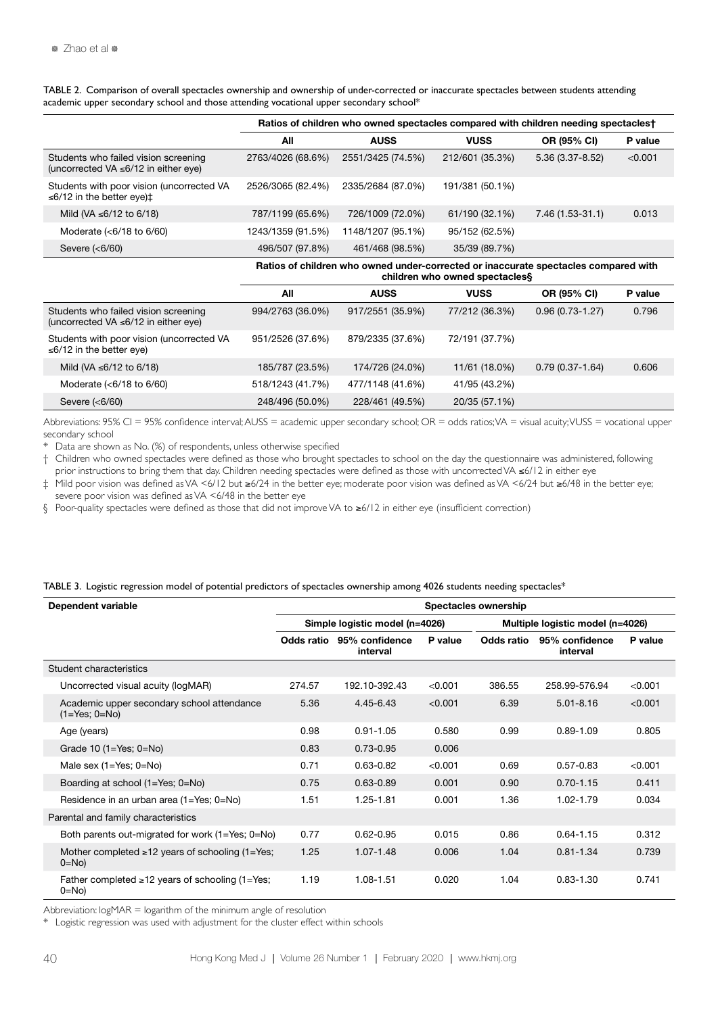TABLE 2. Comparison of overall spectacles ownership and ownership of under-corrected or inaccurate spectacles between students attending academic upper secondary school and those attending vocational upper secondary school\*

|                                                                                    | Ratios of children who owned spectacles compared with children needing spectaclest |                   |                 |                     |         |  |  |
|------------------------------------------------------------------------------------|------------------------------------------------------------------------------------|-------------------|-----------------|---------------------|---------|--|--|
|                                                                                    | All                                                                                | <b>AUSS</b>       | <b>VUSS</b>     | OR (95% CI)         | P value |  |  |
| Students who failed vision screening<br>(uncorrected VA $\leq 6/12$ in either eye) | 2763/4026 (68.6%)                                                                  | 2551/3425 (74.5%) | 212/601 (35.3%) | $5.36(3.37 - 8.52)$ | < 0.001 |  |  |
| Students with poor vision (uncorrected VA<br>≤6/12 in the better eye) $\pm$        | 2526/3065 (82.4%)                                                                  | 2335/2684 (87.0%) | 191/381 (50.1%) |                     |         |  |  |
| Mild (VA ≤6/12 to 6/18)                                                            | 787/1199 (65.6%)                                                                   | 726/1009 (72.0%)  | 61/190 (32.1%)  | 7.46 (1.53-31.1)    | 0.013   |  |  |
| Moderate $(6/18 to 6/60)$                                                          | 1243/1359 (91.5%)                                                                  | 1148/1207 (95.1%) | 95/152 (62.5%)  |                     |         |  |  |
| Severe $(6/60)$                                                                    | 496/507 (97.8%)                                                                    | 461/468 (98.5%)   | 35/39 (89.7%)   |                     |         |  |  |

|                                                                              | Ratios of children who owned under-corrected or inaccurate spectacles compared with<br>children who owned spectacless |                  |                |                     |         |  |  |
|------------------------------------------------------------------------------|-----------------------------------------------------------------------------------------------------------------------|------------------|----------------|---------------------|---------|--|--|
|                                                                              | All                                                                                                                   | <b>AUSS</b>      | <b>VUSS</b>    | OR (95% CI)         | P value |  |  |
| Students who failed vision screening<br>(uncorrected VA ≤6/12 in either eye) | 994/2763 (36.0%)                                                                                                      | 917/2551 (35.9%) | 77/212 (36.3%) | $0.96(0.73 - 1.27)$ | 0.796   |  |  |
| Students with poor vision (uncorrected VA<br>≤6/12 in the better eye)        | 951/2526 (37.6%)                                                                                                      | 879/2335 (37.6%) | 72/191 (37.7%) |                     |         |  |  |
| Mild (VA ≤6/12 to 6/18)                                                      | 185/787 (23.5%)                                                                                                       | 174/726 (24.0%)  | 11/61 (18.0%)  | $0.79(0.37 - 1.64)$ | 0.606   |  |  |
| Moderate $(6/18 to 6/60)$                                                    | 518/1243 (41.7%)                                                                                                      | 477/1148 (41.6%) | 41/95 (43.2%)  |                     |         |  |  |

Abbreviations: 95% CI = 95% confidence interval; AUSS = academic upper secondary school; OR = odds ratios; VA = visual acuity; VUSS = vocational upper secondary school

Data are shown as No. (%) of respondents, unless otherwise specified

† Children who owned spectacles were defined as those who brought spectacles to school on the day the questionnaire was administered, following prior instructions to bring them that day. Children needing spectacles were defined as those with uncorrected VA ≤6/12 in either eye

‡ Mild poor vision was defined as VA <6/12 but ≥6/24 in the better eye; moderate poor vision was defined as VA <6/24 but ≥6/48 in the better eye; severe poor vision was defined as VA <6/48 in the better eye

§ Poor-quality spectacles were defined as those that did not improve VA to ≥6/12 in either eye (insufficient correction)

Severe (<6/60) 248/496 (50.0%) 228/461 (49.5%) 20/35 (57.1%)

#### TABLE 3. Logistic regression model of potential predictors of spectacles ownership among 4026 students needing spectacles\*

| Dependent variable                                                | Spectacles ownership           |                            |         |                                  |                            |         |  |
|-------------------------------------------------------------------|--------------------------------|----------------------------|---------|----------------------------------|----------------------------|---------|--|
|                                                                   | Simple logistic model (n=4026) |                            |         | Multiple logistic model (n=4026) |                            |         |  |
|                                                                   | Odds ratio                     | 95% confidence<br>interval | P value | Odds ratio                       | 95% confidence<br>interval | P value |  |
| Student characteristics                                           |                                |                            |         |                                  |                            |         |  |
| Uncorrected visual acuity (logMAR)                                | 274.57                         | 192.10-392.43              | < 0.001 | 386.55                           | 258.99-576.94              | < 0.001 |  |
| Academic upper secondary school attendance<br>$(1 = Yes; 0 = No)$ | 5.36                           | 4.45-6.43                  | < 0.001 | 6.39                             | $5.01 - 8.16$              | < 0.001 |  |
| Age (years)                                                       | 0.98                           | $0.91 - 1.05$              | 0.580   | 0.99                             | $0.89 - 1.09$              | 0.805   |  |
| Grade 10 $(1 = Yes; 0 = No)$                                      | 0.83                           | $0.73 - 0.95$              | 0.006   |                                  |                            |         |  |
| Male sex $(1 = Yes; 0 = No)$                                      | 0.71                           | $0.63 - 0.82$              | < 0.001 | 0.69                             | $0.57 - 0.83$              | < 0.001 |  |
| Boarding at school (1=Yes; 0=No)                                  | 0.75                           | $0.63 - 0.89$              | 0.001   | 0.90                             | $0.70 - 1.15$              | 0.411   |  |
| Residence in an urban area (1=Yes; 0=No)                          | 1.51                           | 1.25-1.81                  | 0.001   | 1.36                             | $1.02 - 1.79$              | 0.034   |  |
| Parental and family characteristics                               |                                |                            |         |                                  |                            |         |  |
| Both parents out-migrated for work (1=Yes; 0=No)                  | 0.77                           | $0.62 - 0.95$              | 0.015   | 0.86                             | $0.64 - 1.15$              | 0.312   |  |
| Mother completed $\geq 12$ years of schooling (1=Yes;<br>$0=No$   | 1.25                           | $1.07 - 1.48$              | 0.006   | 1.04                             | $0.81 - 1.34$              | 0.739   |  |
| Father completed $\geq 12$ years of schooling (1=Yes;<br>$0 = No$ | 1.19                           | 1.08-1.51                  | 0.020   | 1.04                             | $0.83 - 1.30$              | 0.741   |  |

Abbreviation: logMAR = logarithm of the minimum angle of resolution

\* Logistic regression was used with adjustment for the cluster effect within schools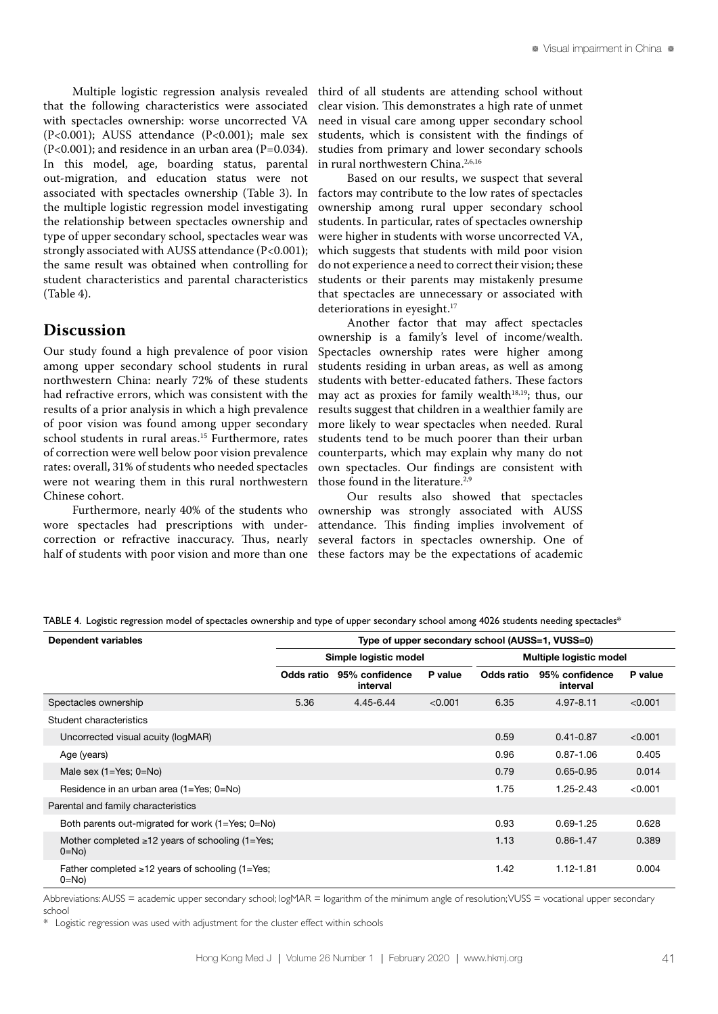Multiple logistic regression analysis revealed that the following characteristics were associated with spectacles ownership: worse uncorrected VA (P<0.001); AUSS attendance (P<0.001); male sex  $(P<0.001)$ ; and residence in an urban area  $(P=0.034)$ . In this model, age, boarding status, parental out-migration, and education status were not associated with spectacles ownership (Table 3). In the multiple logistic regression model investigating the relationship between spectacles ownership and type of upper secondary school, spectacles wear was strongly associated with AUSS attendance (P<0.001); the same result was obtained when controlling for student characteristics and parental characteristics (Table 4).

### **Discussion**

Our study found a high prevalence of poor vision among upper secondary school students in rural northwestern China: nearly 72% of these students had refractive errors, which was consistent with the results of a prior analysis in which a high prevalence of poor vision was found among upper secondary school students in rural areas.<sup>15</sup> Furthermore, rates of correction were well below poor vision prevalence rates: overall, 31% of students who needed spectacles were not wearing them in this rural northwestern Chinese cohort.

Furthermore, nearly 40% of the students who wore spectacles had prescriptions with undercorrection or refractive inaccuracy. Thus, nearly half of students with poor vision and more than one third of all students are attending school without clear vision. This demonstrates a high rate of unmet need in visual care among upper secondary school students, which is consistent with the findings of studies from primary and lower secondary schools in rural northwestern China.<sup>2,6,16</sup>

Based on our results, we suspect that several factors may contribute to the low rates of spectacles ownership among rural upper secondary school students. In particular, rates of spectacles ownership were higher in students with worse uncorrected VA, which suggests that students with mild poor vision do not experience a need to correct their vision; these students or their parents may mistakenly presume that spectacles are unnecessary or associated with deteriorations in eyesight.<sup>17</sup>

Another factor that may affect spectacles ownership is a family's level of income/wealth. Spectacles ownership rates were higher among students residing in urban areas, as well as among students with better-educated fathers. These factors may act as proxies for family wealth $18,19$ ; thus, our results suggest that children in a wealthier family are more likely to wear spectacles when needed. Rural students tend to be much poorer than their urban counterparts, which may explain why many do not own spectacles. Our findings are consistent with those found in the literature. $2,9$ 

Our results also showed that spectacles ownership was strongly associated with AUSS attendance. This finding implies involvement of several factors in spectacles ownership. One of these factors may be the expectations of academic

|  |  |  | TABLE 4. Logistic regression model of spectacles ownership and type of upper secondary school among 4026 students needing spectacles <sup>\$</sup> |
|--|--|--|----------------------------------------------------------------------------------------------------------------------------------------------------|
|  |  |  |                                                                                                                                                    |

| Dependent variables                                               | Type of upper secondary school (AUSS=1, VUSS=0) |                            |         |                         |                            |         |  |
|-------------------------------------------------------------------|-------------------------------------------------|----------------------------|---------|-------------------------|----------------------------|---------|--|
|                                                                   | Simple logistic model                           |                            |         | Multiple logistic model |                            |         |  |
|                                                                   | Odds ratio                                      | 95% confidence<br>interval | P value | Odds ratio              | 95% confidence<br>interval | P value |  |
| Spectacles ownership                                              | 5.36                                            | 4.45-6.44                  | < 0.001 | 6.35                    | $4.97 - 8.11$              | < 0.001 |  |
| Student characteristics                                           |                                                 |                            |         |                         |                            |         |  |
| Uncorrected visual acuity (logMAR)                                |                                                 |                            |         | 0.59                    | $0.41 - 0.87$              | < 0.001 |  |
| Age (years)                                                       |                                                 |                            |         | 0.96                    | $0.87 - 1.06$              | 0.405   |  |
| Male sex $(1=Yes; 0=No)$                                          |                                                 |                            |         | 0.79                    | $0.65 - 0.95$              | 0.014   |  |
| Residence in an urban area (1=Yes; 0=No)                          |                                                 |                            |         | 1.75                    | $1.25 - 2.43$              | < 0.001 |  |
| Parental and family characteristics                               |                                                 |                            |         |                         |                            |         |  |
| Both parents out-migrated for work $(1 = Yes; 0 = No)$            |                                                 |                            |         | 0.93                    | $0.69 - 1.25$              | 0.628   |  |
| Mother completed $\geq 12$ years of schooling (1=Yes;<br>$0 = No$ |                                                 |                            |         | 1.13                    | $0.86 - 1.47$              | 0.389   |  |
| Father completed $\ge$ 12 years of schooling (1=Yes;<br>$0 = No$  |                                                 |                            |         | 1.42                    | $1.12 - 1.81$              | 0.004   |  |

Abbreviations: AUSS = academic upper secondary school; logMAR = logarithm of the minimum angle of resolution; VUSS = vocational upper secondary school

\* Logistic regression was used with adjustment for the cluster effect within schools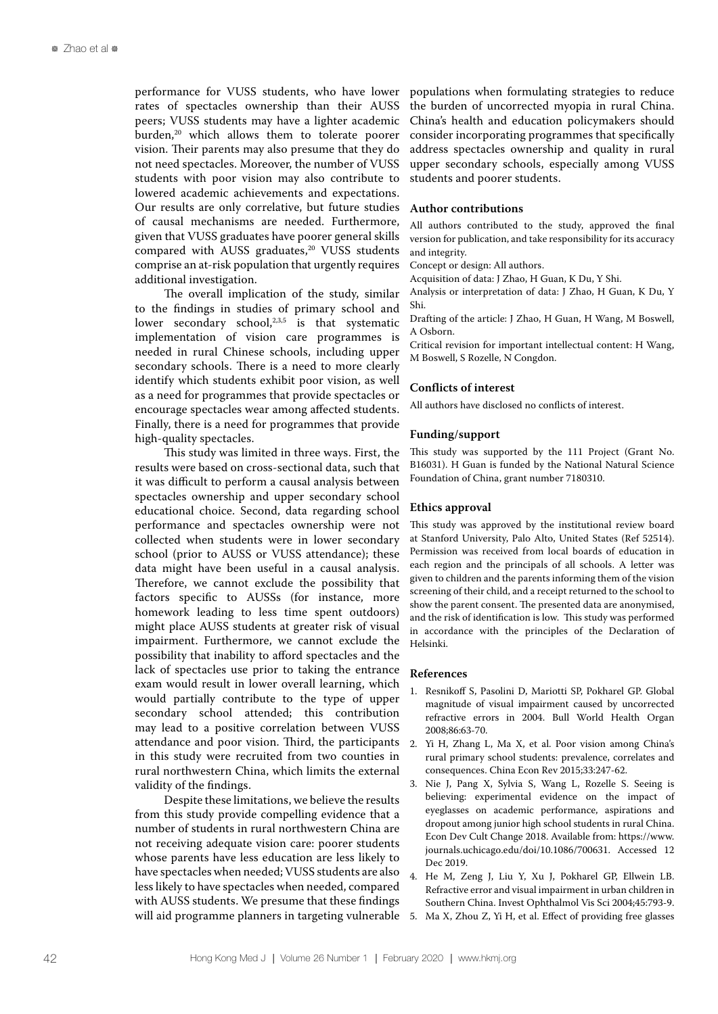performance for VUSS students, who have lower rates of spectacles ownership than their AUSS peers; VUSS students may have a lighter academic burden,<sup>20</sup> which allows them to tolerate poorer vision. Their parents may also presume that they do not need spectacles. Moreover, the number of VUSS students with poor vision may also contribute to lowered academic achievements and expectations. Our results are only correlative, but future studies of causal mechanisms are needed. Furthermore, given that VUSS graduates have poorer general skills compared with AUSS graduates,<sup>20</sup> VUSS students comprise an at-risk population that urgently requires additional investigation.

The overall implication of the study, similar to the findings in studies of primary school and lower secondary school, $2,3,5$  is that systematic implementation of vision care programmes is needed in rural Chinese schools, including upper secondary schools. There is a need to more clearly identify which students exhibit poor vision, as well as a need for programmes that provide spectacles or encourage spectacles wear among affected students. Finally, there is a need for programmes that provide high-quality spectacles.

This study was limited in three ways. First, the results were based on cross-sectional data, such that it was difficult to perform a causal analysis between spectacles ownership and upper secondary school educational choice. Second, data regarding school performance and spectacles ownership were not collected when students were in lower secondary school (prior to AUSS or VUSS attendance); these data might have been useful in a causal analysis. Therefore, we cannot exclude the possibility that factors specific to AUSSs (for instance, more homework leading to less time spent outdoors) might place AUSS students at greater risk of visual impairment. Furthermore, we cannot exclude the possibility that inability to afford spectacles and the lack of spectacles use prior to taking the entrance exam would result in lower overall learning, which would partially contribute to the type of upper secondary school attended; this contribution may lead to a positive correlation between VUSS attendance and poor vision. Third, the participants in this study were recruited from two counties in rural northwestern China, which limits the external validity of the findings.

Despite these limitations, we believe the results from this study provide compelling evidence that a number of students in rural northwestern China are not receiving adequate vision care: poorer students whose parents have less education are less likely to have spectacles when needed; VUSS students are also less likely to have spectacles when needed, compared with AUSS students. We presume that these findings will aid programme planners in targeting vulnerable populations when formulating strategies to reduce the burden of uncorrected myopia in rural China. China's health and education policymakers should consider incorporating programmes that specifically address spectacles ownership and quality in rural upper secondary schools, especially among VUSS students and poorer students.

#### **Author contributions**

All authors contributed to the study, approved the final version for publication, and take responsibility for its accuracy and integrity.

Concept or design: All authors.

Acquisition of data: J Zhao, H Guan, K Du, Y Shi.

Analysis or interpretation of data: J Zhao, H Guan, K Du, Y Shi.

Drafting of the article: J Zhao, H Guan, H Wang, M Boswell, A Osborn.

Critical revision for important intellectual content: H Wang, M Boswell, S Rozelle, N Congdon.

#### **Conflicts of interest**

All authors have disclosed no conflicts of interest.

#### **Funding/support**

This study was supported by the 111 Project (Grant No. B16031). H Guan is funded by the National Natural Science Foundation of China, grant number 7180310.

#### **Ethics approval**

This study was approved by the institutional review board at Stanford University, Palo Alto, United States (Ref 52514). Permission was received from local boards of education in each region and the principals of all schools. A letter was given to children and the parents informing them of the vision screening of their child, and a receipt returned to the school to show the parent consent. The presented data are anonymised, and the risk of identification is low. This study was performed in accordance with the principles of the Declaration of Helsinki.

#### **References**

- 1. Resnikoff S, Pasolini D, Mariotti SP, Pokharel GP. Global magnitude of visual impairment caused by uncorrected refractive errors in 2004. Bull World Health Organ 2008;86:63-70.
- 2. Yi H, Zhang L, Ma X, et al. Poor vision among China's rural primary school students: prevalence, correlates and consequences. China Econ Rev 2015;33:247-62.
- 3. Nie J, Pang X, Sylvia S, Wang L, Rozelle S. Seeing is believing: experimental evidence on the impact of eyeglasses on academic performance, aspirations and dropout among junior high school students in rural China. Econ Dev Cult Change 2018. Available from: https://www. journals.uchicago.edu/doi/10.1086/700631. Accessed 12 Dec 2019.
- 4. He M, Zeng J, Liu Y, Xu J, Pokharel GP, Ellwein LB. Refractive error and visual impairment in urban children in Southern China. Invest Ophthalmol Vis Sci 2004;45:793-9.
- 5. Ma X, Zhou Z, Yi H, et al. Effect of providing free glasses